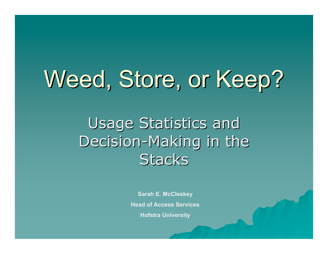# Weed, Store, or Keep?

Usage Statistics and Decision-Making in the Stacks

**Sarah E. McCleskey**

**Head of Access Services**

**Hofstra University**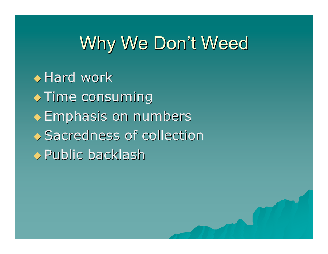# Why We Don't Weed

◆ Hard work  $\rightarrow$  Time consuming Emphasis on numbers ◆ Sacredness of collection Public backlash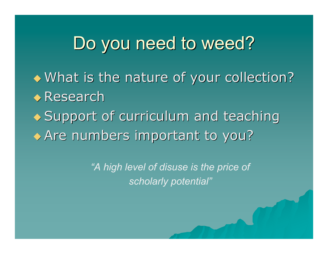#### Do you need to weed?

What is the nature of your collection? ◆ Research

◆ Support of curriculum and teaching Are numbers important to you?

> *"A high level of disuse is the price of scholarly potential"*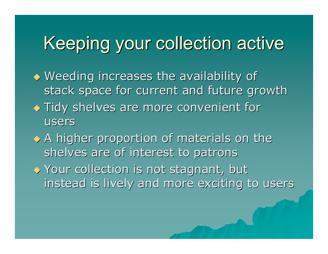# Keeping your collection active

- Weeding increases the availability of stack space for current and future growth  $\rightarrow$  Tidy shelves are more convenient for users
- $\rightarrow$  A higher proportion of materials on the shelves are of interest to patrons
- ◆ Your collection is not stagnant, but instead is lively and more exciting to users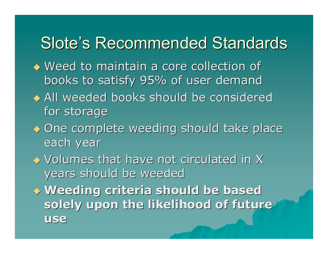#### Slote's Recommended Standards

- ◆ Weed to maintain a core collection of books to satisfy 95% of user demand
- All weeded books should be considered for storage
- ◆ One complete weeding should take place each year
- Volumes that have not circulated in X years should be weeded
- **Weeding criteria should be based solely upon the likelihood of future use**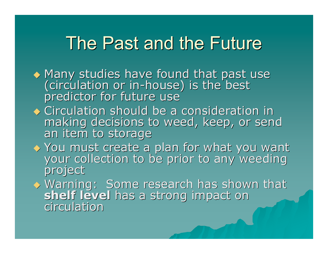## The Past and the Future

- $\rightarrow$  Many studies have found that past use (circulation or in-house) is the best predictor for future use
- Circulation should be a consideration in making decisions to weed, keep, or send an item to storage
- ◆ You must create a plan for what you want your collection to be prior to any weeding project
- ◆ Warning: Some research has shown that **shelf level** has a strong impact on circulation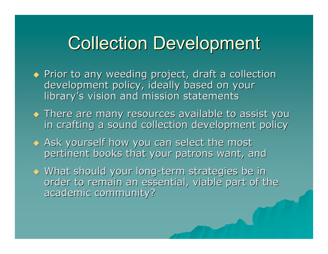# Collection Development

- **+ Prior to any weeding project, draft a collection** development policy, ideally based on your library's vision and mission statements
- $\rightarrow$  There are many resources available to assist you in crafting a sound collection development policy
- $\rightarrow$  Ask yourself how you can select the most pertinent books that your patrons want, and
- What should your long-term strategies be in order to remain an essential, viable part of the academic community? academic community?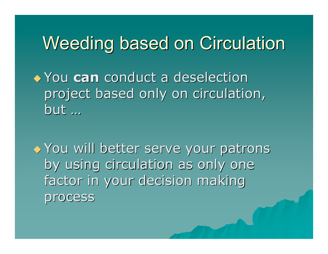# Weeding based on Circulation

 You **can** conduct a deselection project based only on circulation, but …

◆ You will better serve your patrons by using circulation as only one factor in your decision making process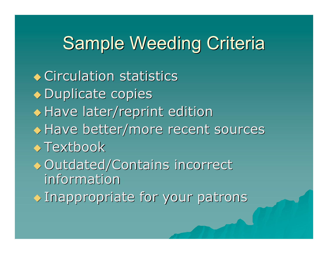## Sample Weeding Criteria

◆ Circulation statistics Duplicate copies **+ Have later/reprint edition** ◆ Have better/more recent sources ◆ Textbook Outdated/Contains incorrect information Inappropriate for your patrons